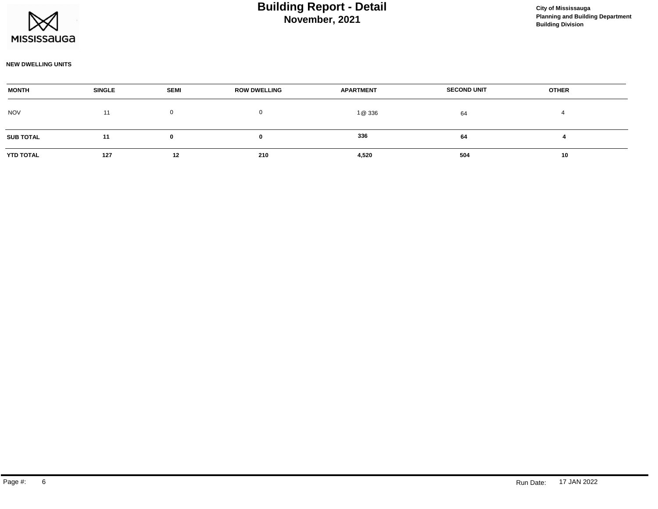

## **November, 2021 Building Report - Detail Construction of Mississauga**

#### **NEW DWELLING UNITS**

| <b>MONTH</b>     | <b>SINGLE</b> | <b>SEMI</b> | <b>ROW DWELLING</b> | <b>APARTMENT</b> | <b>SECOND UNIT</b> | <b>OTHER</b> |  |
|------------------|---------------|-------------|---------------------|------------------|--------------------|--------------|--|
| <b>NOV</b>       | 11            |             |                     | 1 @ 336          | 64                 |              |  |
| <b>SUB TOTAL</b> | 11            |             |                     | 336              | 64                 |              |  |
| YTD TOTAL        | 127           | $12 \,$     | 210                 | 4,520            | 504                | 10           |  |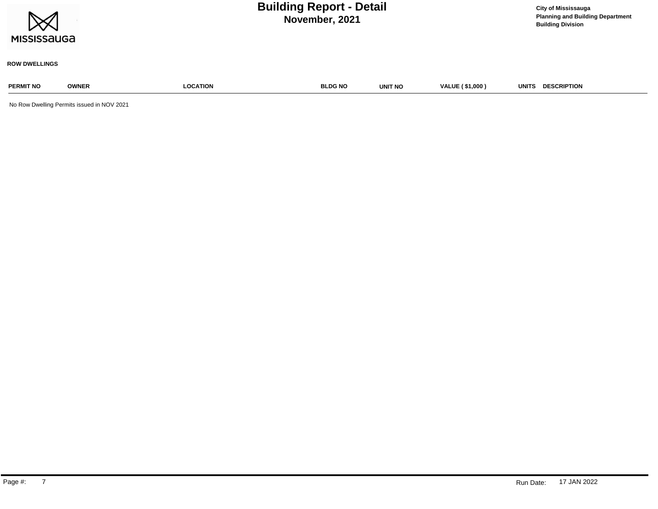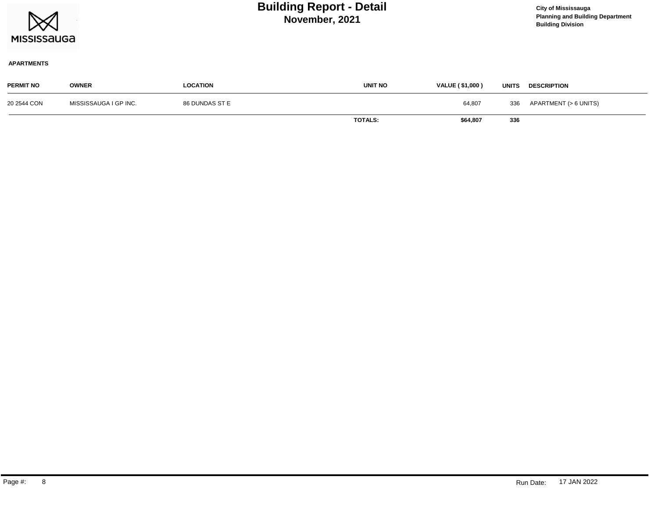

## **November, 2021 Building Report - Detail Construction of Mississauga**

### **APARTMENTS**

| <b>PERMIT NO</b> | <b>OWNER</b>          | <b>LOCATION</b> | <b>UNIT NO</b> | VALUE (\$1,000) | <b>UNITS</b> | <b>DESCRIPTION</b>    |
|------------------|-----------------------|-----------------|----------------|-----------------|--------------|-----------------------|
| 20 2544 CON      | MISSISSAUGA I GP INC. | 86 DUNDAS ST E  |                | 64,807          | 336          | APARTMENT (> 6 UNITS) |
|                  |                       |                 | <b>TOTALS:</b> | \$64,807        | 336          |                       |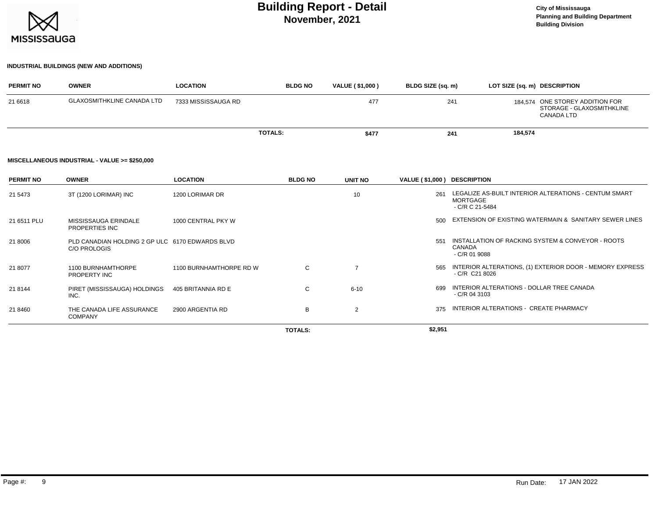

# **November, 2021 Building Report - Detail City of Mississauga**

### **INDUSTRIAL BUILDINGS (NEW AND ADDITIONS)**

| <b>PERMIT NO</b> | <b>OWNER</b>                      | <b>LOCATION</b>     | <b>BLDG NO</b> | <b>VALUE (\$1,000)</b> | BLDG SIZE (sq. m) | LOT SIZE (sq. m) DESCRIPTION                                               |
|------------------|-----------------------------------|---------------------|----------------|------------------------|-------------------|----------------------------------------------------------------------------|
| 21 6618          | <b>GLAXOSMITHKLINE CANADA LTD</b> | 7333 MISSISSAUGA RD |                | 477                    | 241               | 184.574 ONE STOREY ADDITION FOR<br>STORAGE - GLAXOSMITHKLINE<br>CANADA LTD |
|                  |                                   |                     | <b>TOTALS:</b> | \$477                  | 241               | 184,574                                                                    |

#### **MISCELLANEOUS INDUSTRIAL - VALUE >= \$250,000**

| <b>PERMIT NO</b> | <b>OWNER</b>                                                    | <b>LOCATION</b>         | <b>BLDG NO</b> | UNIT NO  | VALUE (\$1,000) DESCRIPTION |                                                                                             |
|------------------|-----------------------------------------------------------------|-------------------------|----------------|----------|-----------------------------|---------------------------------------------------------------------------------------------|
| 21 5473          | 3T (1200 LORIMAR) INC                                           | 1200 LORIMAR DR         |                | 10       | 261                         | LEGALIZE AS-BUILT INTERIOR ALTERATIONS - CENTUM SMART<br><b>MORTGAGE</b><br>- C/R C 21-5484 |
| 21 6511 PLU      | MISSISSAUGA ERINDALE<br>PROPERTIES INC                          | 1000 CENTRAL PKY W      |                |          | 500                         | EXTENSION OF EXISTING WATERMAIN & SANITARY SEWER LINES                                      |
| 21 8006          | PLD CANADIAN HOLDING 2 GP ULC 6170 EDWARDS BLVD<br>C/O PROLOGIS |                         |                |          | 551                         | INSTALLATION OF RACKING SYSTEM & CONVEYOR - ROOTS<br>CANADA<br>$-C/R$ 01 9088               |
| 21 8077          | 1100 BURNHAMTHORPE<br><b>PROPERTY INC</b>                       | 1100 BURNHAMTHORPE RD W | C              |          | 565                         | INTERIOR ALTERATIONS, (1) EXTERIOR DOOR - MEMORY EXPRESS<br>$-C/R$ C <sub>21</sub> 8026     |
| 21 8144          | PIRET (MISSISSAUGA) HOLDINGS<br>INC.                            | 405 BRITANNIA RD E      | C              | $6 - 10$ | 699                         | INTERIOR ALTERATIONS - DOLLAR TREE CANADA<br>$-C/R$ 04 3103                                 |
| 21 8460          | THE CANADA LIFE ASSURANCE<br><b>COMPANY</b>                     | 2900 ARGENTIA RD        | B              | 2        | 375                         | INTERIOR ALTERATIONS - CREATE PHARMACY                                                      |
|                  |                                                                 |                         | <b>TOTALS:</b> |          | \$2,951                     |                                                                                             |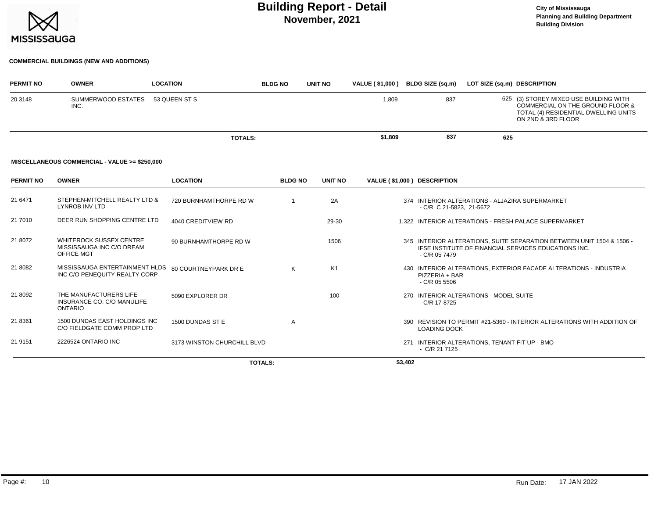

# **November, 2021 Building Report - Detail City of Mississauga**

#### **COMMERCIAL BUILDINGS (NEW AND ADDITIONS)**

| <b>PERMIT NO</b> | <b>OWNER</b>               | <b>LOCATION</b> | <b>BLDG NO</b> | UNIT NO | <b>VALUE (\$1,000)</b> | <b>BLDG SIZE (sq.m)</b> | LOT SIZE (sq.m) DESCRIPTION                                                                                                              |
|------------------|----------------------------|-----------------|----------------|---------|------------------------|-------------------------|------------------------------------------------------------------------------------------------------------------------------------------|
| 20 3148          | SUMMERWOOD ESTATES<br>INC. | 53 QUEEN ST S   |                |         | 1,809                  | 837                     | 625 (3) STOREY MIXED USE BUILDING WITH<br>COMMERCIAL ON THE GROUND FLOOR &<br>TOTAL (4) RESIDENTIAL DWELLING UNITS<br>ON 2ND & 3RD FLOOR |
|                  |                            |                 | <b>TOTALS:</b> |         | \$1,809                | 837                     | 625                                                                                                                                      |

#### **MISCELLANEOUS COMMERCIAL - VALUE >= \$250,000**

| <b>PERMIT NO</b> | <b>OWNER</b>                                                                         | <b>LOCATION</b>             | <b>BLDG NO</b> | UNIT NO        | VALUE (\$1,000) DESCRIPTION |                                                                                                                                                |
|------------------|--------------------------------------------------------------------------------------|-----------------------------|----------------|----------------|-----------------------------|------------------------------------------------------------------------------------------------------------------------------------------------|
| 21 6471          | STEPHEN-MITCHELL REALTY LTD &<br><b>LYNROB INV LTD</b>                               | 720 BURNHAMTHORPE RD W      |                | 2A             |                             | 374 INTERIOR ALTERATIONS - ALJAZIRA SUPERMARKET<br>- C/R C 21-5823, 21-5672                                                                    |
| 21 7010          | DEER RUN SHOPPING CENTRE LTD                                                         | 4040 CREDITVIEW RD          |                | 29-30          |                             | 1.322 INTERIOR ALTERATIONS - FRESH PALACE SUPERMARKET                                                                                          |
| 21 8072          | <b>WHITEROCK SUSSEX CENTRE</b><br>MISSISSAUGA INC C/O DREAM<br><b>OFFICE MGT</b>     | 90 BURNHAMTHORPE RD W       |                | 1506           |                             | 345 INTERIOR ALTERATIONS, SUITE SEPARATION BETWEEN UNIT 1504 & 1506 -<br>IFSE INSTITUTE OF FINANCIAL SERVICES EDUCATIONS INC.<br>- C/R 05 7479 |
| 21 8082          | MISSISSAUGA ENTERTAINMENT HLDS 80 COURTNEYPARK DR E<br>INC C/O PENEQUITY REALTY CORP |                             | K              | K <sub>1</sub> |                             | 430 INTERIOR ALTERATIONS, EXTERIOR FACADE ALTERATIONS - INDUSTRIA<br>PIZZERIA + BAR<br>$-C/R$ 05 5506                                          |
| 21 8092          | THE MANUFACTURERS LIFE<br>INSURANCE CO. C/O MANULIFE<br><b>ONTARIO</b>               | 5090 EXPLORER DR            |                | 100            |                             | 270 INTERIOR ALTERATIONS - MODEL SUITE<br>- C/R 17-8725                                                                                        |
| 21 8361          | 1500 DUNDAS EAST HOLDINGS INC<br>C/O FIELDGATE COMM PROP LTD                         | 1500 DUNDAS ST E            | $\mathsf{A}$   |                |                             | 390 REVISION TO PERMIT #21-5360 - INTERIOR ALTERATIONS WITH ADDITION OF<br><b>LOADING DOCK</b>                                                 |
| 21 9151          | 2226524 ONTARIO INC                                                                  | 3173 WINSTON CHURCHILL BLVD |                |                |                             | 271 INTERIOR ALTERATIONS, TENANT FIT UP - BMO<br>$-C/R$ 21 7125                                                                                |
|                  |                                                                                      | <b>TOTALS:</b>              |                |                | \$3,402                     |                                                                                                                                                |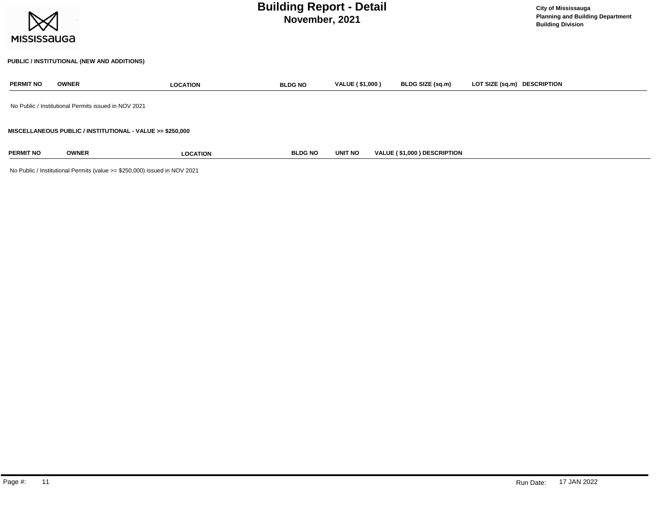| <b>MISSISSAUGA</b> |                                                      | <b>Building Report - Detail</b>                           | <b>City of Mississauga</b><br><b>Planning and Building Department</b><br><b>Building Division</b> |                        |                             |                             |
|--------------------|------------------------------------------------------|-----------------------------------------------------------|---------------------------------------------------------------------------------------------------|------------------------|-----------------------------|-----------------------------|
|                    | PUBLIC / INSTITUTIONAL (NEW AND ADDITIONS)           |                                                           |                                                                                                   |                        |                             |                             |
| <b>PERMIT NO</b>   | <b>OWNER</b>                                         | <b>LOCATION</b>                                           | <b>BLDG NO</b>                                                                                    | <b>VALUE (\$1,000)</b> | BLDG SIZE (sq.m)            | LOT SIZE (sq.m) DESCRIPTION |
|                    | No Public / Institutional Permits issued in NOV 2021 |                                                           |                                                                                                   |                        |                             |                             |
|                    |                                                      | MISCELLANEOUS PUBLIC / INSTITUTIONAL - VALUE >= \$250,000 |                                                                                                   |                        |                             |                             |
| <b>PERMIT NO</b>   | <b>OWNER</b>                                         | <b>LOCATION</b>                                           | <b>BLDG NO</b>                                                                                    | <b>UNIT NO</b>         | VALUE (\$1,000) DESCRIPTION |                             |

No Public / Institutional Permits (value >= \$250,000) issued in NOV 2021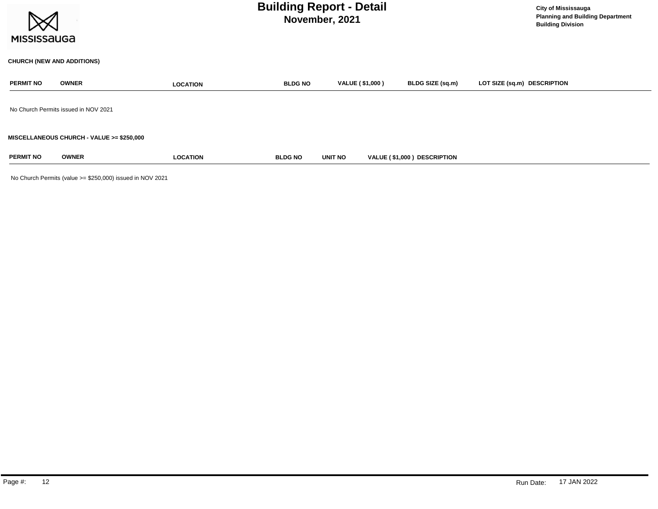|                  | <b>Building Report - Detail</b><br>November, 2021<br><b>MISSISSAUGA</b> |                 |                |                        |                             | <b>City of Mississauga</b><br><b>Planning and Building Department</b><br><b>Building Division</b> |
|------------------|-------------------------------------------------------------------------|-----------------|----------------|------------------------|-----------------------------|---------------------------------------------------------------------------------------------------|
|                  | <b>CHURCH (NEW AND ADDITIONS)</b>                                       |                 |                |                        |                             |                                                                                                   |
| <b>PERMIT NO</b> | <b>OWNER</b>                                                            | <b>LOCATION</b> | <b>BLDG NO</b> | <b>VALUE (\$1,000)</b> | BLDG SIZE (sq.m)            | LOT SIZE (sq.m) DESCRIPTION                                                                       |
|                  | No Church Permits issued in NOV 2021                                    |                 |                |                        |                             |                                                                                                   |
|                  | MISCELLANEOUS CHURCH - VALUE >= \$250,000                               |                 |                |                        |                             |                                                                                                   |
| <b>PERMIT NO</b> | <b>OWNER</b>                                                            | <b>LOCATION</b> | <b>BLDG NO</b> | UNIT NO                | VALUE (\$1,000) DESCRIPTION |                                                                                                   |

No Church Permits (value >= \$250,000) issued in NOV 2021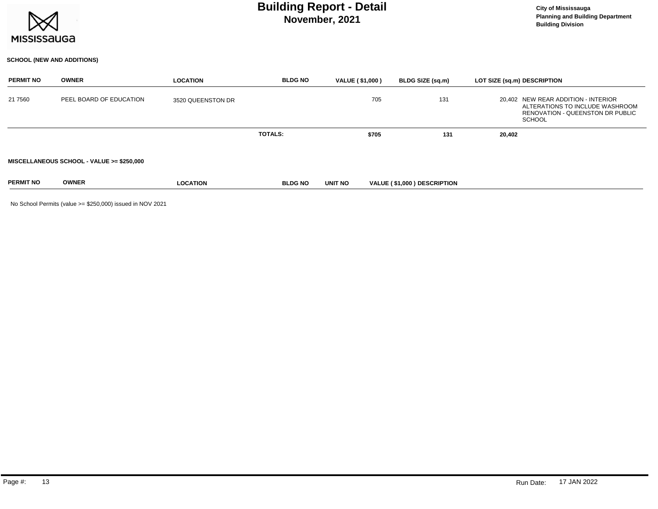

# **November, 2021 Building Report - Detail City of Mississauga**

### **SCHOOL (NEW AND ADDITIONS)**

| <b>PERMIT NO</b> | <b>OWNER</b>                              | <b>LOCATION</b>   | <b>BLDG NO</b> | <b>VALUE (\$1,000)</b> |       | BLDG SIZE (sq.m)            | LOT SIZE (sq.m) DESCRIPTION                                                                                                 |
|------------------|-------------------------------------------|-------------------|----------------|------------------------|-------|-----------------------------|-----------------------------------------------------------------------------------------------------------------------------|
| 21 7560          | PEEL BOARD OF EDUCATION                   | 3520 QUEENSTON DR |                |                        | 705   | 131                         | 20.402 NEW REAR ADDITION - INTERIOR<br>ALTERATIONS TO INCLUDE WASHROOM<br>RENOVATION - QUEENSTON DR PUBLIC<br><b>SCHOOL</b> |
|                  |                                           |                   | <b>TOTALS:</b> |                        | \$705 | 131                         | 20,402                                                                                                                      |
|                  | MISCELLANEOUS SCHOOL - VALUE >= \$250,000 |                   |                |                        |       |                             |                                                                                                                             |
| <b>PERMIT NO</b> | <b>OWNER</b>                              | <b>LOCATION</b>   | <b>BLDG NO</b> | UNIT NO                |       | VALUE (\$1,000) DESCRIPTION |                                                                                                                             |

No School Permits (value >= \$250,000) issued in NOV 2021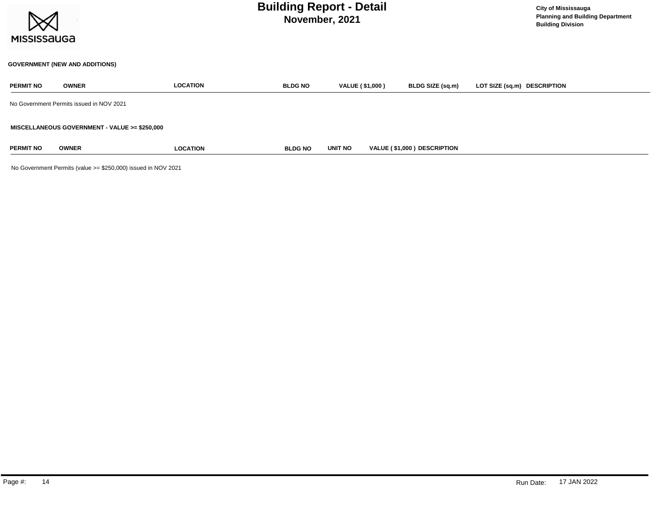

| PERMIT NO        | <b>OWNER</b>                                  | <b>LOCATION</b> | <b>BLDG NO</b> | VALUE (\$1,000) | BLDG SIZE (sq.m)            | LOT SIZE (sq.m) DESCRIPTION |  |
|------------------|-----------------------------------------------|-----------------|----------------|-----------------|-----------------------------|-----------------------------|--|
|                  | No Government Permits issued in NOV 2021      |                 |                |                 |                             |                             |  |
|                  | MISCELLANEOUS GOVERNMENT - VALUE >= \$250,000 |                 |                |                 |                             |                             |  |
| <b>PERMIT NO</b> | <b>OWNER</b>                                  | <b>LOCATION</b> | <b>BLDG NO</b> | UNIT NO         | VALUE (\$1,000) DESCRIPTION |                             |  |

No Government Permits (value >= \$250,000) issued in NOV 2021